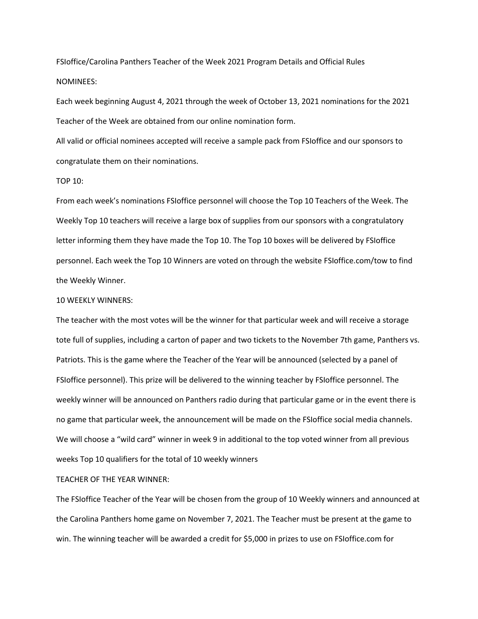FSIoffice/Carolina Panthers Teacher of the Week 2021 Program Details and Official Rules NOMINEES:

Each week beginning August 4, 2021 through the week of October 13, 2021 nominations for the 2021 Teacher of the Week are obtained from our online nomination form.

All valid or official nominees accepted will receive a sample pack from FSIoffice and our sponsors to congratulate them on their nominations.

#### TOP 10:

From each week's nominations FSIoffice personnel will choose the Top 10 Teachers of the Week. The Weekly Top 10 teachers will receive a large box of supplies from our sponsors with a congratulatory letter informing them they have made the Top 10. The Top 10 boxes will be delivered by FSIoffice personnel. Each week the Top 10 Winners are voted on through the website FSIoffice.com/tow to find the Weekly Winner.

#### 10 WEEKLY WINNERS:

The teacher with the most votes will be the winner for that particular week and will receive a storage tote full of supplies, including a carton of paper and two tickets to the November 7th game, Panthers vs. Patriots. This is the game where the Teacher of the Year will be announced (selected by a panel of FSIoffice personnel). This prize will be delivered to the winning teacher by FSIoffice personnel. The weekly winner will be announced on Panthers radio during that particular game or in the event there is no game that particular week, the announcement will be made on the FSIoffice social media channels. We will choose a "wild card" winner in week 9 in additional to the top voted winner from all previous weeks Top 10 qualifiers for the total of 10 weekly winners

## TEACHER OF THE YEAR WINNER:

The FSIoffice Teacher of the Year will be chosen from the group of 10 Weekly winners and announced at the Carolina Panthers home game on November 7, 2021. The Teacher must be present at the game to win. The winning teacher will be awarded a credit for \$5,000 in prizes to use on FSIoffice.com for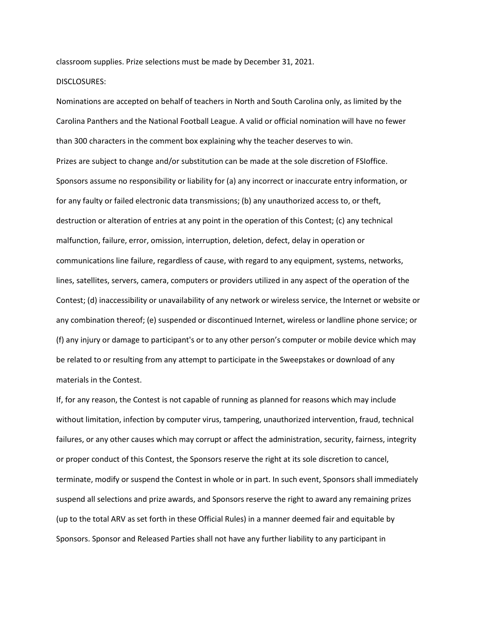classroom supplies. Prize selections must be made by December 31, 2021.

## DISCLOSURES:

Nominations are accepted on behalf of teachers in North and South Carolina only, as limited by the Carolina Panthers and the National Football League. A valid or official nomination will have no fewer than 300 characters in the comment box explaining why the teacher deserves to win. Prizes are subject to change and/or substitution can be made at the sole discretion of FSIoffice. Sponsors assume no responsibility or liability for (a) any incorrect or inaccurate entry information, or for any faulty or failed electronic data transmissions; (b) any unauthorized access to, or theft, destruction or alteration of entries at any point in the operation of this Contest; (c) any technical malfunction, failure, error, omission, interruption, deletion, defect, delay in operation or communications line failure, regardless of cause, with regard to any equipment, systems, networks, lines, satellites, servers, camera, computers or providers utilized in any aspect of the operation of the Contest; (d) inaccessibility or unavailability of any network or wireless service, the Internet or website or any combination thereof; (e) suspended or discontinued Internet, wireless or landline phone service; or (f) any injury or damage to participant's or to any other person's computer or mobile device which may be related to or resulting from any attempt to participate in the Sweepstakes or download of any materials in the Contest.

If, for any reason, the Contest is not capable of running as planned for reasons which may include without limitation, infection by computer virus, tampering, unauthorized intervention, fraud, technical failures, or any other causes which may corrupt or affect the administration, security, fairness, integrity or proper conduct of this Contest, the Sponsors reserve the right at its sole discretion to cancel, terminate, modify or suspend the Contest in whole or in part. In such event, Sponsors shall immediately suspend all selections and prize awards, and Sponsors reserve the right to award any remaining prizes (up to the total ARV as set forth in these Official Rules) in a manner deemed fair and equitable by Sponsors. Sponsor and Released Parties shall not have any further liability to any participant in